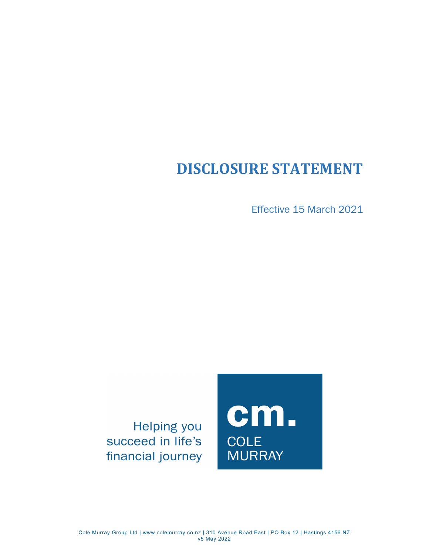# **DISCLOSURE STATEMENT**

Effective 15 March 2021

**Helping you** succeed in life's financial journey



Cole Murray Group Ltd | www.colemurray.co.nz | 310 Avenue Road East | PO Box 12 | Hastings 4156 NZ v5 May 2022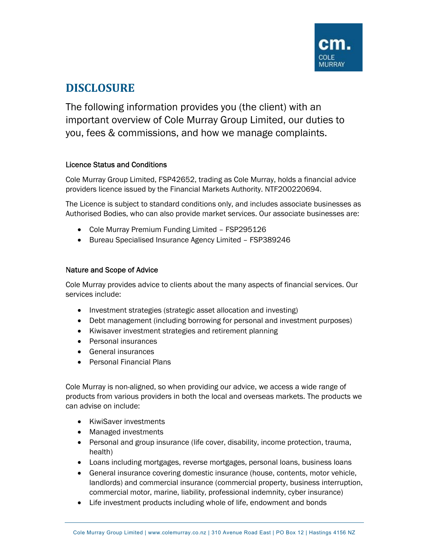

# **DISCLOSURE**

The following information provides you (the client) with an important overview of Cole Murray Group Limited, our duties to you, fees & commissions, and how we manage complaints.

# Licence Status and Conditions

Cole Murray Group Limited, FSP42652, trading as Cole Murray, holds a financial advice providers licence issued by the Financial Markets Authority. NTF200220694.

The Licence is subject to standard conditions only, and includes associate businesses as Authorised Bodies, who can also provide market services. Our associate businesses are:

- Cole Murray Premium Funding Limited FSP295126
- Bureau Specialised Insurance Agency Limited FSP389246

# Nature and Scope of Advice

Cole Murray provides advice to clients about the many aspects of financial services. Our services include:

- Investment strategies (strategic asset allocation and investing)
- Debt management (including borrowing for personal and investment purposes)
- Kiwisaver investment strategies and retirement planning
- Personal insurances
- General insurances
- Personal Financial Plans

Cole Murray is non-aligned, so when providing our advice, we access a wide range of products from various providers in both the local and overseas markets. The products we can advise on include:

- KiwiSaver investments
- Managed investments
- Personal and group insurance (life cover, disability, income protection, trauma, health)
- Loans including mortgages, reverse mortgages, personal loans, business loans
- General insurance covering domestic insurance (house, contents, motor vehicle, landlords) and commercial insurance (commercial property, business interruption, commercial motor, marine, liability, professional indemnity, cyber insurance)
- Life investment products including whole of life, endowment and bonds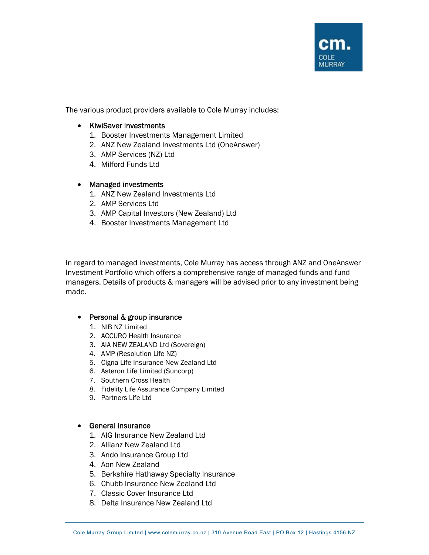

The various product providers available to Cole Murray includes:

#### • KiwiSaver investments

- 1. Booster Investments Management Limited
- 2. ANZ New Zealand Investments Ltd (OneAnswer)
- 3. AMP Services (NZ) Ltd
- 4. Milford Funds Ltd

# • Managed investments

- 1. ANZ New Zealand Investments Ltd
- 2. AMP Services Ltd
- 3. AMP Capital Investors (New Zealand) Ltd
- 4. Booster Investments Management Ltd

In regard to managed investments, Cole Murray has access through ANZ and OneAnswer Investment Portfolio which offers a comprehensive range of managed funds and fund managers. Details of products & managers will be advised prior to any investment being made.

#### • Personal & group insurance

- 1. NIB NZ Limited
- 2. ACCURO Health Insurance
- 3. AIA NEW ZEALAND Ltd (Sovereign)
- 4. AMP (Resolution Life NZ)
- 5. Cigna Life Insurance New Zealand Ltd
- 6. Asteron Life Limited (Suncorp)
- 7. Southern Cross Health
- 8. Fidelity Life Assurance Company Limited
- 9. Partners Life Ltd

#### General insurance

- 1. AIG Insurance New Zealand Ltd
- 2. Allianz New Zealand Ltd
- 3. Ando Insurance Group Ltd
- 4. Aon New Zealand
- 5. Berkshire Hathaway Specialty Insurance
- 6. Chubb Insurance New Zealand Ltd
- 7. Classic Cover Insurance Ltd
- 8. Delta Insurance New Zealand Ltd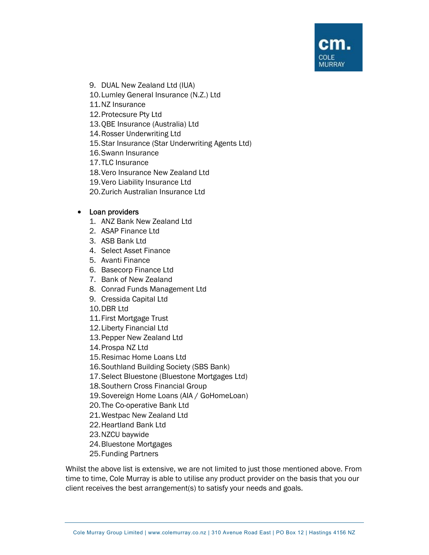

- 9. DUAL New Zealand Ltd (IUA)
- 10.Lumley General Insurance (N.Z.) Ltd
- 11.NZ Insurance
- 12.Protecsure Pty Ltd
- 13.QBE Insurance (Australia) Ltd
- 14.Rosser Underwriting Ltd
- 15.Star Insurance (Star Underwriting Agents Ltd)
- 16.Swann Insurance
- 17.TLC Insurance
- 18.Vero Insurance New Zealand Ltd
- 19.Vero Liability Insurance Ltd
- 20.Zurich Australian Insurance Ltd

#### Loan providers

- 1. ANZ Bank New Zealand Ltd
- 2. ASAP Finance Ltd
- 3. ASB Bank Ltd
- 4. Select Asset Finance
- 5. Avanti Finance
- 6. Basecorp Finance Ltd
- 7. Bank of New Zealand
- 8. Conrad Funds Management Ltd
- 9. Cressida Capital Ltd
- 10.DBR Ltd
- 11.First Mortgage Trust
- 12.Liberty Financial Ltd
- 13.Pepper New Zealand Ltd
- 14.Prospa NZ Ltd
- 15.Resimac Home Loans Ltd
- 16.Southland Building Society (SBS Bank)
- 17.Select Bluestone (Bluestone Mortgages Ltd)
- 18.Southern Cross Financial Group
- 19.Sovereign Home Loans (AIA / GoHomeLoan)
- 20.The Co-operative Bank Ltd
- 21.Westpac New Zealand Ltd
- 22.Heartland Bank Ltd
- 23.NZCU baywide
- 24.Bluestone Mortgages
- 25.Funding Partners

Whilst the above list is extensive, we are not limited to just those mentioned above. From time to time, Cole Murray is able to utilise any product provider on the basis that you our client receives the best arrangement(s) to satisfy your needs and goals.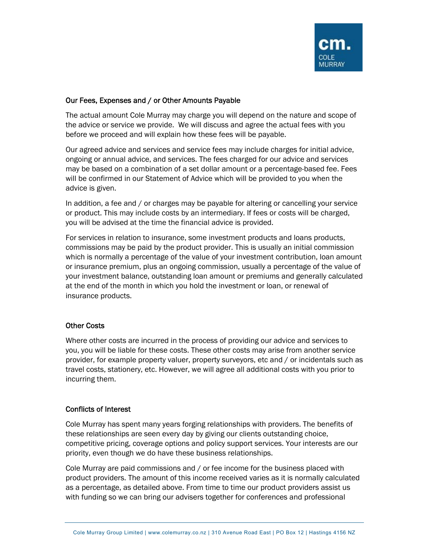

# Our Fees, Expenses and / or Other Amounts Payable

The actual amount Cole Murray may charge you will depend on the nature and scope of the advice or service we provide. We will discuss and agree the actual fees with you before we proceed and will explain how these fees will be payable.

Our agreed advice and services and service fees may include charges for initial advice, ongoing or annual advice, and services. The fees charged for our advice and services may be based on a combination of a set dollar amount or a percentage-based fee. Fees will be confirmed in our Statement of Advice which will be provided to you when the advice is given.

In addition, a fee and / or charges may be payable for altering or cancelling your service or product. This may include costs by an intermediary. If fees or costs will be charged, you will be advised at the time the financial advice is provided.

For services in relation to insurance, some investment products and loans products, commissions may be paid by the product provider. This is usually an initial commission which is normally a percentage of the value of your investment contribution, loan amount or insurance premium, plus an ongoing commission, usually a percentage of the value of your investment balance, outstanding loan amount or premiums and generally calculated at the end of the month in which you hold the investment or loan, or renewal of insurance products.

# Other Costs

Where other costs are incurred in the process of providing our advice and services to you, you will be liable for these costs. These other costs may arise from another service provider, for example property valuer, property surveyors, etc and / or incidentals such as travel costs, stationery, etc. However, we will agree all additional costs with you prior to incurring them.

# Conflicts of Interest

Cole Murray has spent many years forging relationships with providers. The benefits of these relationships are seen every day by giving our clients outstanding choice, competitive pricing, coverage options and policy support services. Your interests are our priority, even though we do have these business relationships.

Cole Murray are paid commissions and / or fee income for the business placed with product providers. The amount of this income received varies as it is normally calculated as a percentage, as detailed above. From time to time our product providers assist us with funding so we can bring our advisers together for conferences and professional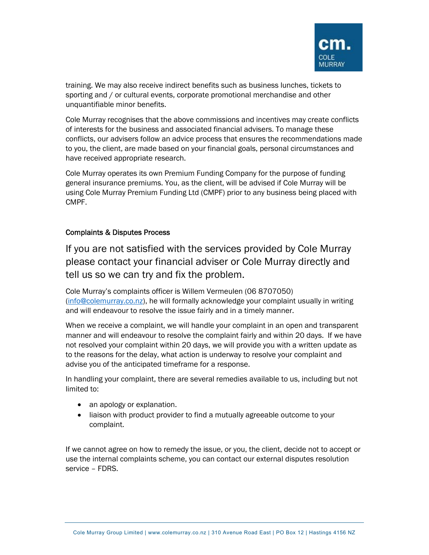

training. We may also receive indirect benefits such as business lunches, tickets to sporting and / or cultural events, corporate promotional merchandise and other unquantifiable minor benefits.

Cole Murray recognises that the above commissions and incentives may create conflicts of interests for the business and associated financial advisers. To manage these conflicts, our advisers follow an advice process that ensures the recommendations made to you, the client, are made based on your financial goals, personal circumstances and have received appropriate research.

Cole Murray operates its own Premium Funding Company for the purpose of funding general insurance premiums. You, as the client, will be advised if Cole Murray will be using Cole Murray Premium Funding Ltd (CMPF) prior to any business being placed with CMPF.

#### Complaints & Disputes Process

If you are not satisfied with the services provided by Cole Murray please contact your financial adviser or Cole Murray directly and tell us so we can try and fix the problem.

Cole Murray's complaints officer is Willem Vermeulen (06 8707050) (info@colemurray.co.nz), he will formally acknowledge your complaint usually in writing and will endeavour to resolve the issue fairly and in a timely manner.

When we receive a complaint, we will handle your complaint in an open and transparent manner and will endeavour to resolve the complaint fairly and within 20 days. If we have not resolved your complaint within 20 days, we will provide you with a written update as to the reasons for the delay, what action is underway to resolve your complaint and advise you of the anticipated timeframe for a response.

In handling your complaint, there are several remedies available to us, including but not limited to:

- an apology or explanation.
- liaison with product provider to find a mutually agreeable outcome to your complaint.

If we cannot agree on how to remedy the issue, or you, the client, decide not to accept or use the internal complaints scheme, you can contact our external disputes resolution service – FDRS.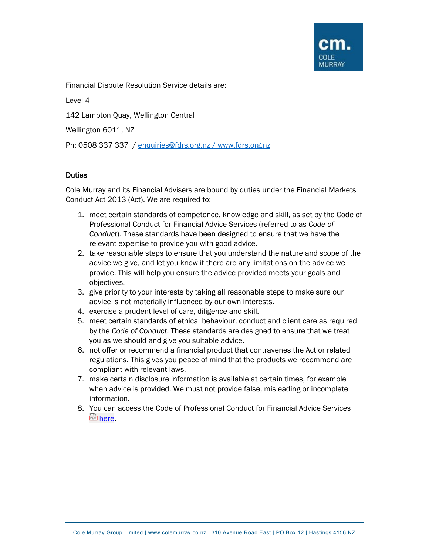

Financial Dispute Resolution Service details are:

Level 4

142 Lambton Quay, Wellington Central

Wellington 6011, NZ

Ph: 0508 337 337 / enquiries@fdrs.org.nz / www.fdrs.org.nz

#### **Duties**

Cole Murray and its Financial Advisers are bound by duties under the Financial Markets Conduct Act 2013 (Act). We are required to:

- 1. meet certain standards of competence, knowledge and skill, as set by the Code of Professional Conduct for Financial Advice Services (referred to as *Code of Conduct*). These standards have been designed to ensure that we have the relevant expertise to provide you with good advice.
- 2. take reasonable steps to ensure that you understand the nature and scope of the advice we give, and let you know if there are any limitations on the advice we provide. This will help you ensure the advice provided meets your goals and objectives.
- 3. give priority to your interests by taking all reasonable steps to make sure our advice is not materially influenced by our own interests.
- 4. exercise a prudent level of care, diligence and skill.
- 5. meet certain standards of ethical behaviour, conduct and client care as required by the *Code of Conduct*. These standards are designed to ensure that we treat you as we should and give you suitable advice.
- 6. not offer or recommend a financial product that contravenes the Act or related regulations. This gives you peace of mind that the products we recommend are compliant with relevant laws.
- 7. make certain disclosure information is available at certain times, for example when advice is provided. We must not provide false, misleading or incomplete information.
- 8. You can access the Code of Professional Conduct for Financial Advice Services **PDF** here.